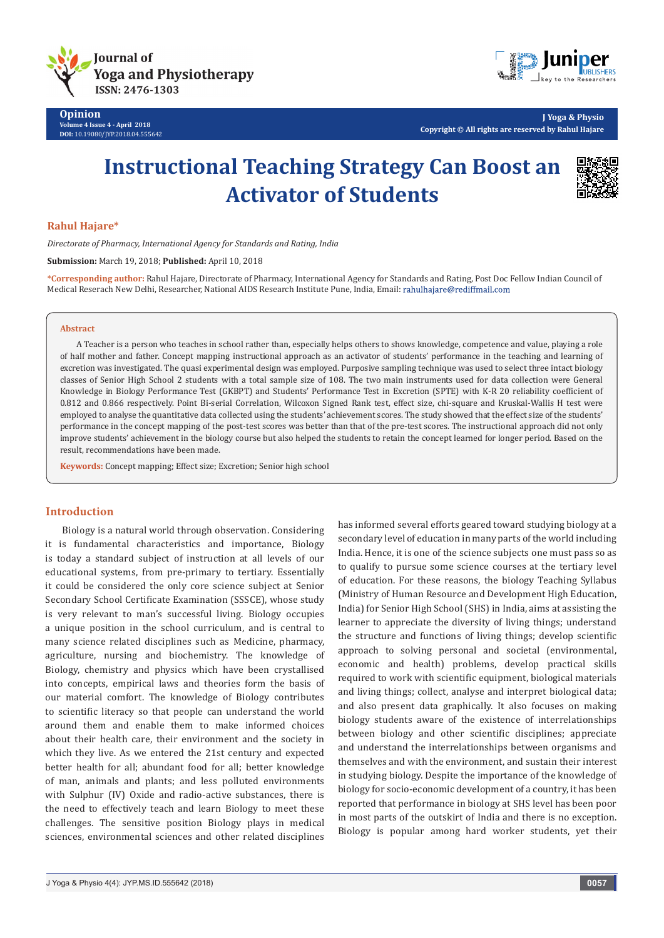



**J Yoga & Physio Copyright © All rights are reserved by Rahul Hajare**

# **Instructional Teaching Strategy Can Boost an Activator of Students**



# **Rahul Hajare\***

*Directorate of Pharmacy, International Agency for Standards and Rating, India* 

**Submission:** March 19, 2018; **Published:** April 10, 2018

**\*Corresponding author:** Rahul Hajare, Directorate of Pharmacy, International Agency for Standards and Rating, Post Doc Fellow Indian Council of Medical Reserach New Delhi, Researcher, National AIDS Research Institute Pune, India, Email: rahulhajare@rediffmail.com

#### **Abstract**

A Teacher is a person who teaches in school rather than, especially helps others to shows knowledge, competence and value, playing a role of half mother and father. Concept mapping instructional approach as an activator of students' performance in the teaching and learning of excretion was investigated. The quasi experimental design was employed. Purposive sampling technique was used to select three intact biology classes of Senior High School 2 students with a total sample size of 108. The two main instruments used for data collection were General Knowledge in Biology Performance Test (GKBPT) and Students' Performance Test in Excretion (SPTE) with K-R 20 reliability coefficient of 0.812 and 0.866 respectively. Point Bi-serial Correlation, Wilcoxon Signed Rank test, effect size, chi-square and Kruskal-Wallis H test were employed to analyse the quantitative data collected using the students' achievement scores. The study showed that the effect size of the students' performance in the concept mapping of the post-test scores was better than that of the pre-test scores. The instructional approach did not only improve students' achievement in the biology course but also helped the students to retain the concept learned for longer period. Based on the result, recommendations have been made.

**Keywords:** Concept mapping; Effect size; Excretion; Senior high school

## **Introduction**

Biology is a natural world through observation. Considering it is fundamental characteristics and importance, Biology is today a standard subject of instruction at all levels of our educational systems, from pre-primary to tertiary. Essentially it could be considered the only core science subject at Senior Secondary School Certificate Examination (SSSCE), whose study is very relevant to man's successful living. Biology occupies a unique position in the school curriculum, and is central to many science related disciplines such as Medicine, pharmacy, agriculture, nursing and biochemistry. The knowledge of Biology, chemistry and physics which have been crystallised into concepts, empirical laws and theories form the basis of our material comfort. The knowledge of Biology contributes to scientific literacy so that people can understand the world around them and enable them to make informed choices about their health care, their environment and the society in which they live. As we entered the 21st century and expected better health for all; abundant food for all; better knowledge of man, animals and plants; and less polluted environments with Sulphur (IV) Oxide and radio-active substances, there is the need to effectively teach and learn Biology to meet these challenges. The sensitive position Biology plays in medical sciences, environmental sciences and other related disciplines

has informed several efforts geared toward studying biology at a secondary level of education in many parts of the world including India. Hence, it is one of the science subjects one must pass so as to qualify to pursue some science courses at the tertiary level of education. For these reasons, the biology Teaching Syllabus (Ministry of Human Resource and Development High Education, India) for Senior High School (SHS) in India, aims at assisting the learner to appreciate the diversity of living things; understand the structure and functions of living things; develop scientific approach to solving personal and societal (environmental, economic and health) problems, develop practical skills required to work with scientific equipment, biological materials and living things; collect, analyse and interpret biological data; and also present data graphically. It also focuses on making biology students aware of the existence of interrelationships between biology and other scientific disciplines; appreciate and understand the interrelationships between organisms and themselves and with the environment, and sustain their interest in studying biology. Despite the importance of the knowledge of biology for socio-economic development of a country, it has been reported that performance in biology at SHS level has been poor in most parts of the outskirt of India and there is no exception. Biology is popular among hard worker students, yet their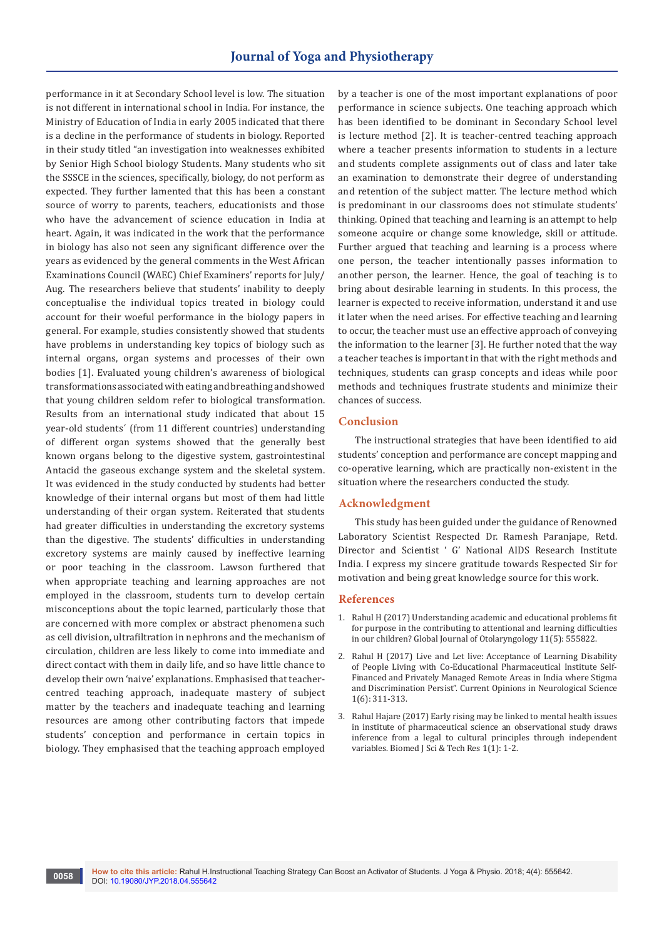performance in it at Secondary School level is low. The situation is not different in international school in India. For instance, the Ministry of Education of India in early 2005 indicated that there is a decline in the performance of students in biology. Reported in their study titled "an investigation into weaknesses exhibited by Senior High School biology Students. Many students who sit the SSSCE in the sciences, specifically, biology, do not perform as expected. They further lamented that this has been a constant source of worry to parents, teachers, educationists and those who have the advancement of science education in India at heart. Again, it was indicated in the work that the performance in biology has also not seen any significant difference over the years as evidenced by the general comments in the West African Examinations Council (WAEC) Chief Examiners' reports for July/ Aug. The researchers believe that students' inability to deeply conceptualise the individual topics treated in biology could account for their woeful performance in the biology papers in general. For example, studies consistently showed that students have problems in understanding key topics of biology such as internal organs, organ systems and processes of their own bodies [1]. Evaluated young children's awareness of biological transformations associated with eating and breathing and showed that young children seldom refer to biological transformation. Results from an international study indicated that about 15 year-old students´ (from 11 different countries) understanding of different organ systems showed that the generally best known organs belong to the digestive system, gastrointestinal Antacid the gaseous exchange system and the skeletal system. It was evidenced in the study conducted by students had better knowledge of their internal organs but most of them had little understanding of their organ system. Reiterated that students had greater difficulties in understanding the excretory systems than the digestive. The students' difficulties in understanding excretory systems are mainly caused by ineffective learning or poor teaching in the classroom. Lawson furthered that when appropriate teaching and learning approaches are not employed in the classroom, students turn to develop certain misconceptions about the topic learned, particularly those that are concerned with more complex or abstract phenomena such as cell division, ultrafiltration in nephrons and the mechanism of circulation, children are less likely to come into immediate and direct contact with them in daily life, and so have little chance to develop their own 'naive' explanations. Emphasised that teachercentred teaching approach, inadequate mastery of subject matter by the teachers and inadequate teaching and learning resources are among other contributing factors that impede students' conception and performance in certain topics in biology. They emphasised that the teaching approach employed

by a teacher is one of the most important explanations of poor performance in science subjects. One teaching approach which has been identified to be dominant in Secondary School level is lecture method [2]. It is teacher-centred teaching approach where a teacher presents information to students in a lecture and students complete assignments out of class and later take an examination to demonstrate their degree of understanding and retention of the subject matter. The lecture method which is predominant in our classrooms does not stimulate students' thinking. Opined that teaching and learning is an attempt to help someone acquire or change some knowledge, skill or attitude. Further argued that teaching and learning is a process where one person, the teacher intentionally passes information to another person, the learner. Hence, the goal of teaching is to bring about desirable learning in students. In this process, the learner is expected to receive information, understand it and use it later when the need arises. For effective teaching and learning to occur, the teacher must use an effective approach of conveying the information to the learner [3]. He further noted that the way a teacher teaches is important in that with the right methods and techniques, students can grasp concepts and ideas while poor methods and techniques frustrate students and minimize their chances of success.

## **Conclusion**

The instructional strategies that have been identified to aid students' conception and performance are concept mapping and co-operative learning, which are practically non-existent in the situation where the researchers conducted the study.

### **Acknowledgment**

This study has been guided under the guidance of Renowned Laboratory Scientist Respected Dr. Ramesh Paranjape, Retd. Director and Scientist ' G' National AIDS Research Institute India. I express my sincere gratitude towards Respected Sir for motivation and being great knowledge source for this work.

#### **References**

- 1. [Rahul H \(2017\) Understanding academic and educational problems fit](https://juniperpublishers.com/gjo/pdf/GJO.MS.ID.555822.pdf)  [for purpose in the contributing to attentional and learning difficulties](https://juniperpublishers.com/gjo/pdf/GJO.MS.ID.555822.pdf)  [in our children? Global Journal of Otolaryngology 11\(5\): 555822.](https://juniperpublishers.com/gjo/pdf/GJO.MS.ID.555822.pdf)
- 2. Rahul H (2017) Live and Let live: Acceptance of Learning Disability of People Living with Co-Educational Pharmaceutical Institute Self-Financed and Privately Managed Remote Areas in India where Stigma and Discrimination Persist". Current Opinions in Neurological Science 1(6): 311-313.
- 3. [Rahul Hajare \(2017\) Early rising may be linked to mental health issues](https://biomedres.us/pdfs/BJSTR.MS.ID.000145.pdf)  [in institute of pharmaceutical science an observational study draws](https://biomedres.us/pdfs/BJSTR.MS.ID.000145.pdf)  [inference from a legal to cultural principles through independent](https://biomedres.us/pdfs/BJSTR.MS.ID.000145.pdf)  [variables. Biomed J Sci & Tech Res 1\(1\): 1-2.](https://biomedres.us/pdfs/BJSTR.MS.ID.000145.pdf)